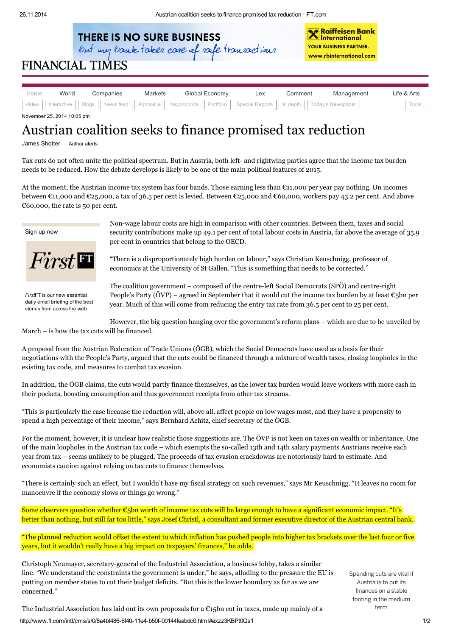### **THERE IS NO SURE BUSINESS**

but my bank takes care of safe transactions

**X** Raiffeisen Bank<br>K International **YOUR BUSINESS PARTNER.** www.rbinternational.com

# **FINANCIAL TIMES**

|  | Markets | Global Economy                                                                                                                           | Lex | Comment | Management | Life & Arts |
|--|---------|------------------------------------------------------------------------------------------------------------------------------------------|-----|---------|------------|-------------|
|  |         | Video    Interactive    Blogs    News feed    Alphaville    beyondbrics    Portfolio    Special Reports    In depth    Today's Newspaper |     |         |            | Tools       |

November 25, 2014 10:05 pm

## Austrian coalition seeks to finance promised tax reduction

James Shotter [Author](javascript:void(0)) alerts

Tax cuts do not often unite the political spectrum. But in [Austria,](http://www.ft.com/intl/topics/places/Austria) both left- and rightwing parties agree that the income tax burden needs to be reduced. How the debate develops is likely to be one of the main political features of 2015.

At the moment, the Austrian income tax system has four bands. Those earning less than €11,000 per year pay nothing. On incomes between €11,000 and €25,000, a tax of 36.5 per cent is levied. Between €25,000 and €60,000, workers pay 43.2 per cent. And above €60,000, the rate is 50 per cent.

[Sign](http://www.ft.com/nbe) up now

**First** 

*First*FT is our new essential daily email briefing of the best stories from across the web

Non-wage labour costs are high in comparison with other countries. Between them, taxes and social security contributions make up 49.1 per cent of total labour costs in Austria, far above the average of 35.9 per cent in countries that belong to the OECD.

"There is a disproportionately high burden on labour," says Christian Keuschnigg, professor of economics at the University of St Gallen. "This is something that needs to be corrected."

The coalition government – composed of the centre-left Social Democrats (SPÖ) and centre-right People's Party (ÖVP) – agreed in September that it would cut the income tax burden by at least  $\epsilon$ 5bn per year. Much of this will come from reducing the entry tax rate from 36.5 per cent to 25 per cent.

However, the big question hanging over the government's reform plans – which are due to be unveiled by March – is how the tax cuts will be financed.

A proposal from the Austrian Federation of Trade Unions (ÖGB), which the Social Democrats have used as a basis for their negotiations with the People's Party, argued that the cuts could be financed through a mixture of wealth taxes, closing loopholes in the existing tax code, and measures to combat tax evasion.

In addition, the ÖGB claims, the cuts would partly finance themselves, as the lower tax burden would leave workers with more cash in their pockets, boosting consumption and thus government receipts from other tax streams.

"This is particularly the case because the reduction will, above all, affect people on low wages most, and they have a propensity to spend a high percentage of their income," says Bernhard Achitz, chief secretary of the ÖGB.

For the moment, however, it is unclear how realistic those suggestions are. The ÖVP is not keen on taxes on wealth or inheritance. One of the main loopholes in the Austrian tax code – which exempts the so-called 13th and 14th salary payments Austrians receive each year from tax – seems unlikely to be plugged. The proceeds of tax evasion crackdowns are notoriously hard to estimate. And economists caution against relying on tax cuts to finance themselves.

"There is certainly such an effect, but I wouldn't base my fiscal strategy on such revenues," says Mr Keuschnigg. "It leaves no room for manoeuvre if the economy slows or things go wrong."

Some observers question whether €5bn worth of income tax cuts will be large enough to have a significant economic impact. "It's better than nothing, but still far too little," says Josef Christl, a consultant and former executive director of the Austrian central bank.

"The planned reduction would offset the extent to which inflation has pushed people into higher tax brackets over the last four or five years, but it wouldn't really have a big impact on taxpayers' finances," he adds.

Christoph Neumayer, secretary-general of the Industrial Association, a business lobby, takes a similar line. "We understand the constraints the government is under," he says, alluding to the pressure the EU is putting on member states to cut their budget deficits. "But this is the lower boundary as far as we are concerned."

Spending cuts are vital if Austria is to put its finances on a stable footing in the medium term

http://www.ft.com/intl/cms/s/0/8a4bf486-6f40-11e4-b50f-00144feabdc0.html#axzz3KBPt0Qs1 1/2 The Industrial Association has laid out its own proposals for a  $\epsilon$ 15bn cut in taxes, made up mainly of a